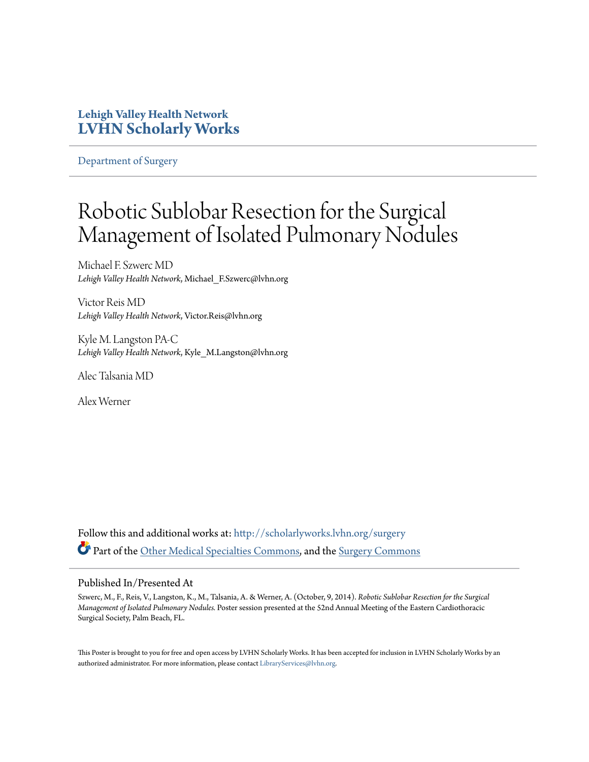### **Lehigh Valley Health Network [LVHN Scholarly Works](http://scholarlyworks.lvhn.org?utm_source=scholarlyworks.lvhn.org%2Fsurgery%2F289&utm_medium=PDF&utm_campaign=PDFCoverPages)**

[Department of Surgery](http://scholarlyworks.lvhn.org/surgery?utm_source=scholarlyworks.lvhn.org%2Fsurgery%2F289&utm_medium=PDF&utm_campaign=PDFCoverPages)

### Robotic Sublobar Resection for the Surgical Management of Isolated Pulmonary Nodules

Michael F. Szwerc MD *Lehigh Valley Health Network*, Michael\_F.Szwerc@lvhn.org

Victor Reis MD *Lehigh Valley Health Network*, Victor.Reis@lvhn.org

Kyle M. Langston PA-C *Lehigh Valley Health Network*, Kyle\_M.Langston@lvhn.org

Alec Talsania MD

Alex Werner

Follow this and additional works at: [http://scholarlyworks.lvhn.org/surgery](http://scholarlyworks.lvhn.org/surgery?utm_source=scholarlyworks.lvhn.org%2Fsurgery%2F289&utm_medium=PDF&utm_campaign=PDFCoverPages) Part of the Othe<u>r Medical Specialties Commons</u>, and the [Surgery Commons](http://network.bepress.com/hgg/discipline/706?utm_source=scholarlyworks.lvhn.org%2Fsurgery%2F289&utm_medium=PDF&utm_campaign=PDFCoverPages)

### Published In/Presented At

Szwerc, M., F., Reis, V., Langston, K., M., Talsania, A. & Werner, A. (October, 9, 2014). *Robotic Sublobar Resection for the Surgical Management of Isolated Pulmonary Nodules.* Poster session presented at the 52nd Annual Meeting of the Eastern Cardiothoracic Surgical Society, Palm Beach, FL.

This Poster is brought to you for free and open access by LVHN Scholarly Works. It has been accepted for inclusion in LVHN Scholarly Works by an authorized administrator. For more information, please contact [LibraryServices@lvhn.org.](mailto:LibraryServices@lvhn.org)